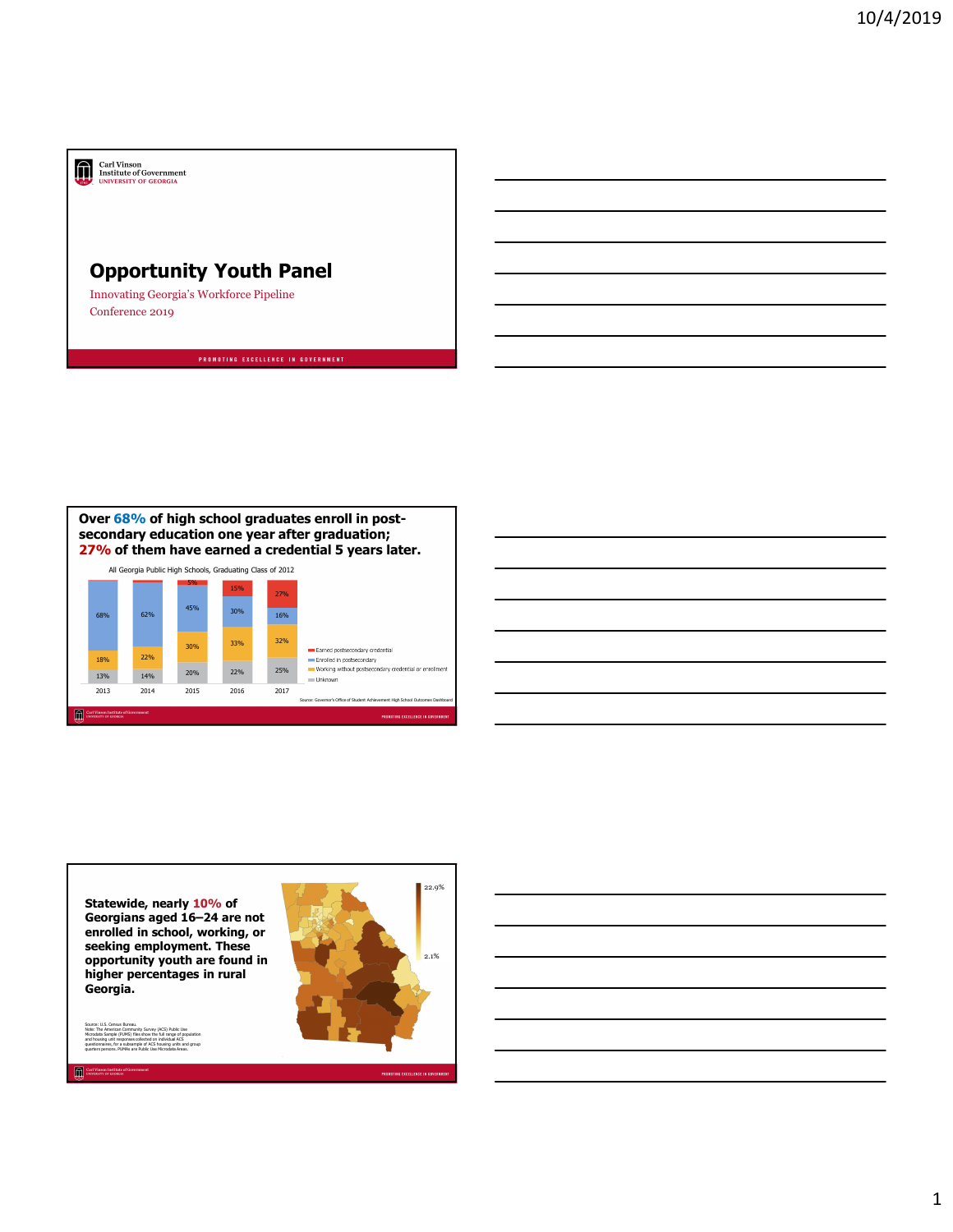## Carl Vinson<br>Institute of Government<br>UNIVERSITY OF GEORGIA

## Opportunity Youth Panel

Innovating Georgia's Workforce Pipeline Conference 2019



18% 22%

13% 14% 20% 22% 25% Working without postsecondary credential or enrollment<br>13% 20% 22% 25% Working without postsecondary credential or enrollment

30% 33% 32% Earned postsecondary credential



Statewide, nearly 10% of Georgians aged 16–24 are not enrolled in school, working, or seeking employment. These opportunity youth are found in higher percentages in rural Georgia.

Source: U.S. Census Bureau.<br>Morte: The American Community Survey (ACS) Public Use<br>Microstranicy for a subscription of the full ange of population<br>and housing unit responses collected on individual ACS<br>quarters persons. PUM